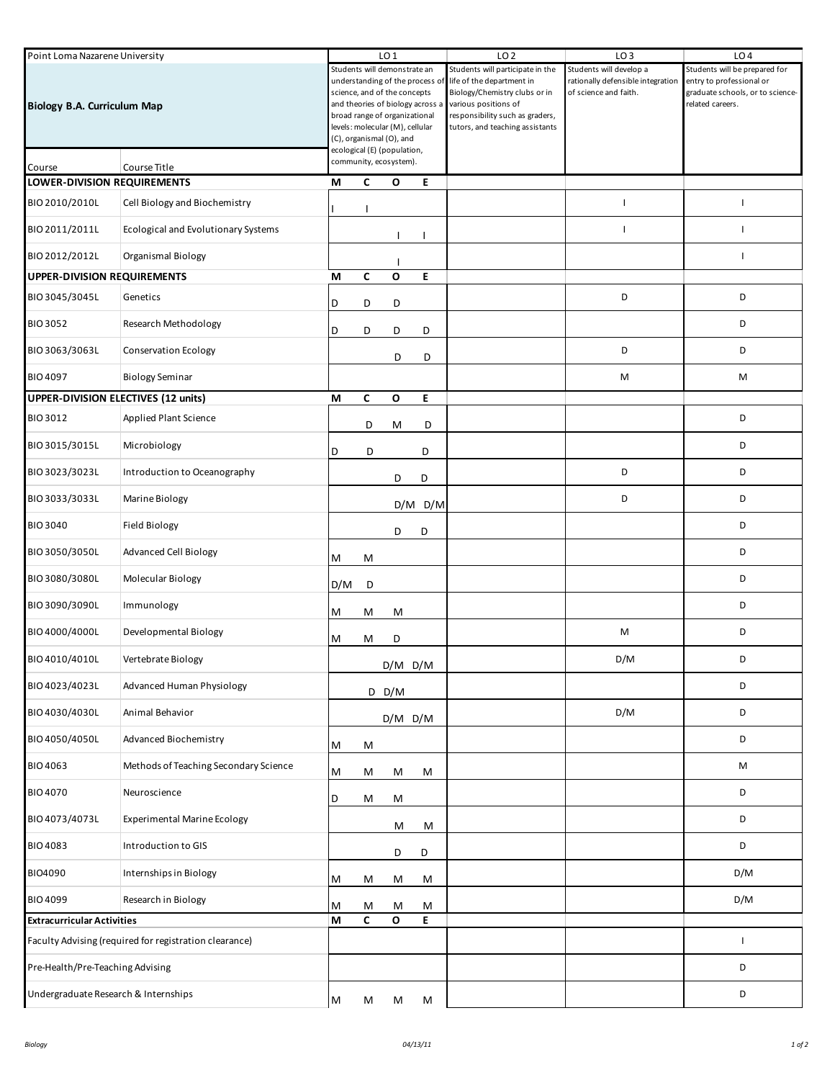| Point Loma Nazarene University<br><b>Biology B.A. Curriculum Map</b> |                                       |     | LO <sub>1</sub><br>Students will demonstrate an<br>understanding of the process of<br>science, and of the concepts<br>and theories of biology across a<br>broad range of organizational |                                 |             | LO <sub>2</sub>                                               | LO <sub>3</sub>                   | LO <sub>4</sub>                                      |
|----------------------------------------------------------------------|---------------------------------------|-----|-----------------------------------------------------------------------------------------------------------------------------------------------------------------------------------------|---------------------------------|-------------|---------------------------------------------------------------|-----------------------------------|------------------------------------------------------|
|                                                                      |                                       |     |                                                                                                                                                                                         |                                 |             | Students will participate in the<br>life of the department in | Students will develop a           | Students will be prepared for                        |
|                                                                      |                                       |     |                                                                                                                                                                                         |                                 |             |                                                               | rationally defensible integration | entry to professional or                             |
|                                                                      |                                       |     |                                                                                                                                                                                         |                                 |             | Biology/Chemistry clubs or in                                 | of science and faith.             | graduate schools, or to science-<br>related careers. |
|                                                                      |                                       |     |                                                                                                                                                                                         |                                 |             | various positions of<br>responsibility such as graders,       |                                   |                                                      |
|                                                                      |                                       |     |                                                                                                                                                                                         | levels: molecular (M), cellular |             | tutors, and teaching assistants                               |                                   |                                                      |
|                                                                      |                                       |     |                                                                                                                                                                                         | (C), organismal (O), and        |             |                                                               |                                   |                                                      |
|                                                                      |                                       |     | ecological (E) (population,                                                                                                                                                             |                                 |             |                                                               |                                   |                                                      |
| Course Title<br>Course                                               |                                       |     | community, ecosystem).                                                                                                                                                                  |                                 |             |                                                               |                                   |                                                      |
| LOWER-DIVISION REQUIREMENTS                                          |                                       | М   | C                                                                                                                                                                                       | O                               | E.          |                                                               |                                   |                                                      |
| BIO 2010/2010L                                                       | Cell Biology and Biochemistry         |     |                                                                                                                                                                                         |                                 |             |                                                               | $\overline{\phantom{a}}$          | T                                                    |
| BIO 2011/2011L                                                       | Ecological and Evolutionary Systems   |     |                                                                                                                                                                                         |                                 |             |                                                               | $\mathbf{I}$                      | $\mathbf{I}$                                         |
| BIO 2012/2012L                                                       | Organismal Biology                    |     |                                                                                                                                                                                         |                                 |             |                                                               |                                   | T                                                    |
| <b>UPPER-DIVISION REQUIREMENTS</b>                                   |                                       | М   | C                                                                                                                                                                                       | $\mathbf{o}$                    | E           |                                                               |                                   |                                                      |
| BIO 3045/3045L                                                       | Genetics                              | D   | D                                                                                                                                                                                       | D                               |             |                                                               | D                                 | D                                                    |
| <b>BIO 3052</b>                                                      | Research Methodology                  | D   | D                                                                                                                                                                                       | D                               | D           |                                                               |                                   | D                                                    |
| BIO 3063/3063L                                                       | <b>Conservation Ecology</b>           |     |                                                                                                                                                                                         | D                               | D           |                                                               | D                                 | D                                                    |
| BIO 4097                                                             | <b>Biology Seminar</b>                |     |                                                                                                                                                                                         |                                 |             |                                                               | M                                 | М                                                    |
|                                                                      | UPPER-DIVISION ELECTIVES (12 units)   | M   | C                                                                                                                                                                                       | $\mathbf{o}$                    | E           |                                                               |                                   |                                                      |
| <b>BIO 3012</b>                                                      | <b>Applied Plant Science</b>          |     | D                                                                                                                                                                                       | M                               | D           |                                                               |                                   | D                                                    |
| BIO 3015/3015L                                                       | Microbiology                          | D   | D                                                                                                                                                                                       |                                 | D           |                                                               |                                   | D                                                    |
| BIO 3023/3023L                                                       | Introduction to Oceanography          |     |                                                                                                                                                                                         | D                               | D           |                                                               | D                                 | D                                                    |
| BIO 3033/3033L                                                       | Marine Biology                        |     |                                                                                                                                                                                         |                                 | $D/M$ $D/M$ |                                                               | D                                 | D                                                    |
| <b>BIO 3040</b>                                                      | <b>Field Biology</b>                  |     |                                                                                                                                                                                         | D                               | D           |                                                               |                                   | D                                                    |
| BIO 3050/3050L                                                       | <b>Advanced Cell Biology</b>          | м   | М                                                                                                                                                                                       |                                 |             |                                                               |                                   | D                                                    |
| BIO 3080/3080L                                                       | Molecular Biology                     | D/M | D                                                                                                                                                                                       |                                 |             |                                                               |                                   | D                                                    |
| BIO 3090/3090L                                                       | Immunology                            | Μ   | M                                                                                                                                                                                       | M                               |             |                                                               |                                   | D                                                    |
| BIO 4000/4000L                                                       | Developmental Biology                 | M   | M                                                                                                                                                                                       | D                               |             |                                                               | M                                 | D                                                    |
| BIO 4010/4010L                                                       | Vertebrate Biology                    |     |                                                                                                                                                                                         | $D/M$ $D/M$                     |             |                                                               | D/M                               | D                                                    |
| BIO 4023/4023L                                                       | <b>Advanced Human Physiology</b>      |     |                                                                                                                                                                                         | $D$ D/M                         |             |                                                               |                                   | D                                                    |
| BIO 4030/4030L                                                       | Animal Behavior                       |     |                                                                                                                                                                                         | $D/M$ $D/M$                     |             |                                                               | D/M                               | D                                                    |
| BIO 4050/4050L                                                       | <b>Advanced Biochemistry</b>          | M   | M                                                                                                                                                                                       |                                 |             |                                                               |                                   | D                                                    |
| <b>BIO 4063</b>                                                      | Methods of Teaching Secondary Science | M   | М                                                                                                                                                                                       | M                               | М           |                                                               |                                   | M                                                    |
| <b>BIO 4070</b>                                                      | Neuroscience                          | D   | М                                                                                                                                                                                       | M                               |             |                                                               |                                   | D                                                    |
| BIO 4073/4073L                                                       | <b>Experimental Marine Ecology</b>    |     |                                                                                                                                                                                         | M                               | M           |                                                               |                                   | D                                                    |
| <b>BIO 4083</b>                                                      | Introduction to GIS                   |     |                                                                                                                                                                                         | D                               | D           |                                                               |                                   | D                                                    |
| BIO4090                                                              | Internships in Biology                | м   | М                                                                                                                                                                                       | M                               | М           |                                                               |                                   | D/M                                                  |
| <b>BIO 4099</b>                                                      | Research in Biology                   | Μ   | M                                                                                                                                                                                       | M                               | м           |                                                               |                                   | D/M                                                  |
| <b>Extracurricular Activities</b>                                    |                                       | М   | C                                                                                                                                                                                       | $\mathbf{o}$                    | E           |                                                               |                                   |                                                      |
| Faculty Advising (required for registration clearance)               |                                       |     |                                                                                                                                                                                         |                                 |             |                                                               |                                   | T                                                    |
| Pre-Health/Pre-Teaching Advising                                     |                                       |     |                                                                                                                                                                                         |                                 |             |                                                               |                                   | D                                                    |
| Undergraduate Research & Internships                                 |                                       | M   | M                                                                                                                                                                                       | M                               | м           |                                                               |                                   | D                                                    |